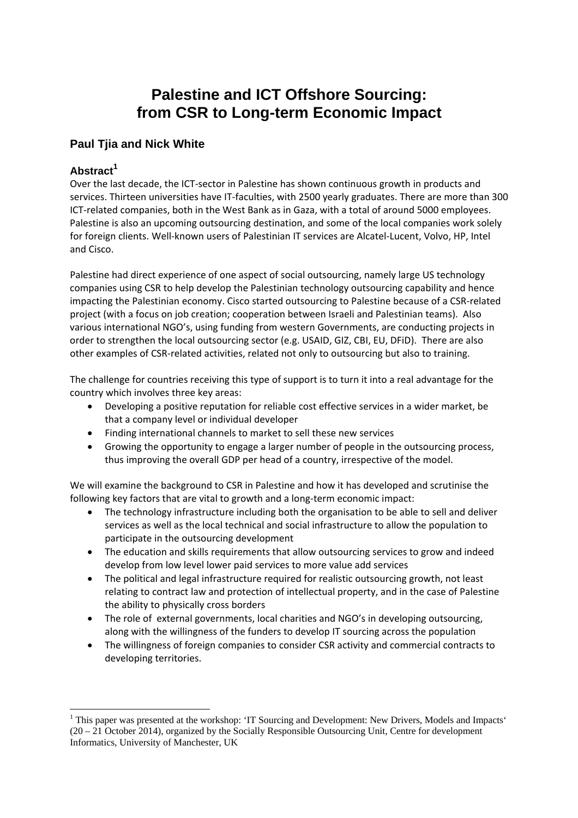# **Palestine and ICT Offshore Sourcing: from CSR to Long-term Economic Impact**

## **Paul Tjia and Nick White**

## **Abstract<sup>1</sup>**

Over the last decade, the ICT‐sector in Palestine has shown continuous growth in products and services. Thirteen universities have IT-faculties, with 2500 yearly graduates. There are more than 300 ICT‐related companies, both in the West Bank as in Gaza, with a total of around 5000 employees. Palestine is also an upcoming outsourcing destination, and some of the local companies work solely for foreign clients. Well‐known users of Palestinian IT services are Alcatel‐Lucent, Volvo, HP, Intel and Cisco.

Palestine had direct experience of one aspect of social outsourcing, namely large US technology companies using CSR to help develop the Palestinian technology outsourcing capability and hence impacting the Palestinian economy. Cisco started outsourcing to Palestine because of a CSR‐related project (with a focus on job creation; cooperation between Israeli and Palestinian teams). Also various international NGO's, using funding from western Governments, are conducting projects in order to strengthen the local outsourcing sector (e.g. USAID, GIZ, CBI, EU, DFiD). There are also other examples of CSR‐related activities, related not only to outsourcing but also to training.

The challenge for countries receiving this type of support is to turn it into a real advantage for the country which involves three key areas:

- Developing a positive reputation for reliable cost effective services in a wider market, be that a company level or individual developer
- Finding international channels to market to sell these new services
- Growing the opportunity to engage a larger number of people in the outsourcing process, thus improving the overall GDP per head of a country, irrespective of the model.

We will examine the background to CSR in Palestine and how it has developed and scrutinise the following key factors that are vital to growth and a long‐term economic impact:

- The technology infrastructure including both the organisation to be able to sell and deliver services as well as the local technical and social infrastructure to allow the population to participate in the outsourcing development
- The education and skills requirements that allow outsourcing services to grow and indeed develop from low level lower paid services to more value add services
- The political and legal infrastructure required for realistic outsourcing growth, not least relating to contract law and protection of intellectual property, and in the case of Palestine the ability to physically cross borders
- The role of external governments, local charities and NGO's in developing outsourcing, along with the willingness of the funders to develop IT sourcing across the population
- The willingness of foreign companies to consider CSR activity and commercial contracts to developing territories.

<sup>&</sup>lt;sup>1</sup> This paper was presented at the workshop: 'IT Sourcing and Development: New Drivers, Models and Impacts' (20 – 21 October 2014), organized by the Socially Responsible Outsourcing Unit, Centre for development Informatics, University of Manchester, UK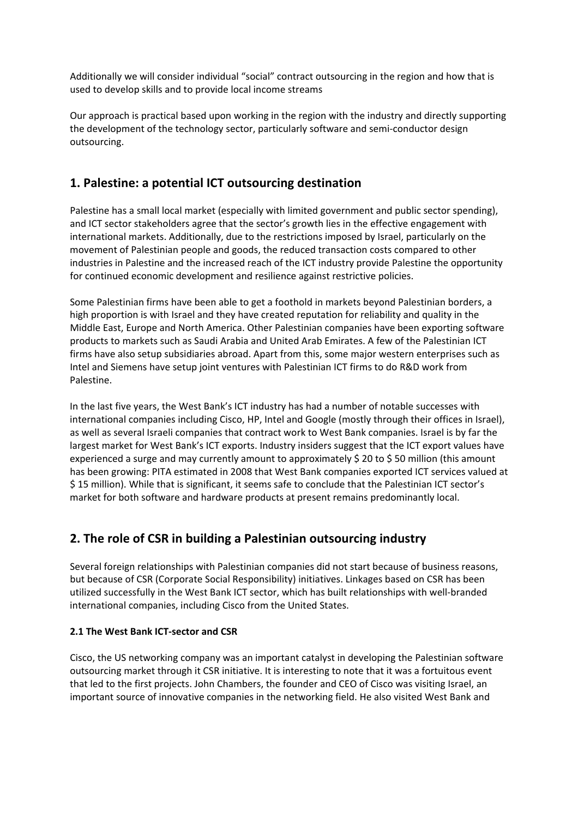Additionally we will consider individual "social" contract outsourcing in the region and how that is used to develop skills and to provide local income streams

Our approach is practical based upon working in the region with the industry and directly supporting the development of the technology sector, particularly software and semi-conductor design outsourcing.

## **1. Palestine: a potential ICT outsourcing destination**

Palestine has a small local market (especially with limited government and public sector spending), and ICT sector stakeholders agree that the sector's growth lies in the effective engagement with international markets. Additionally, due to the restrictions imposed by Israel, particularly on the movement of Palestinian people and goods, the reduced transaction costs compared to other industries in Palestine and the increased reach of the ICT industry provide Palestine the opportunity for continued economic development and resilience against restrictive policies.

Some Palestinian firms have been able to get a foothold in markets beyond Palestinian borders, a high proportion is with Israel and they have created reputation for reliability and quality in the Middle East, Europe and North America. Other Palestinian companies have been exporting software products to markets such as Saudi Arabia and United Arab Emirates. A few of the Palestinian ICT firms have also setup subsidiaries abroad. Apart from this, some major western enterprises such as Intel and Siemens have setup joint ventures with Palestinian ICT firms to do R&D work from Palestine.

In the last five years, the West Bank's ICT industry has had a number of notable successes with international companies including Cisco, HP, Intel and Google (mostly through their offices in Israel), as well as several Israeli companies that contract work to West Bank companies. Israel is by far the largest market for West Bank's ICT exports. Industry insiders suggest that the ICT export values have experienced a surge and may currently amount to approximately \$ 20 to \$ 50 million (this amount has been growing: PITA estimated in 2008 that West Bank companies exported ICT services valued at \$ 15 million). While that is significant, it seems safe to conclude that the Palestinian ICT sector's market for both software and hardware products at present remains predominantly local.

## **2. The role of CSR in building a Palestinian outsourcing industry**

Several foreign relationships with Palestinian companies did not start because of business reasons, but because of CSR (Corporate Social Responsibility) initiatives. Linkages based on CSR has been utilized successfully in the West Bank ICT sector, which has built relationships with well‐branded international companies, including Cisco from the United States.

## **2.1 The West Bank ICT‐sector and CSR**

Cisco, the US networking company was an important catalyst in developing the Palestinian software outsourcing market through it CSR initiative. It is interesting to note that it was a fortuitous event that led to the first projects. John Chambers, the founder and CEO of Cisco was visiting Israel, an important source of innovative companies in the networking field. He also visited West Bank and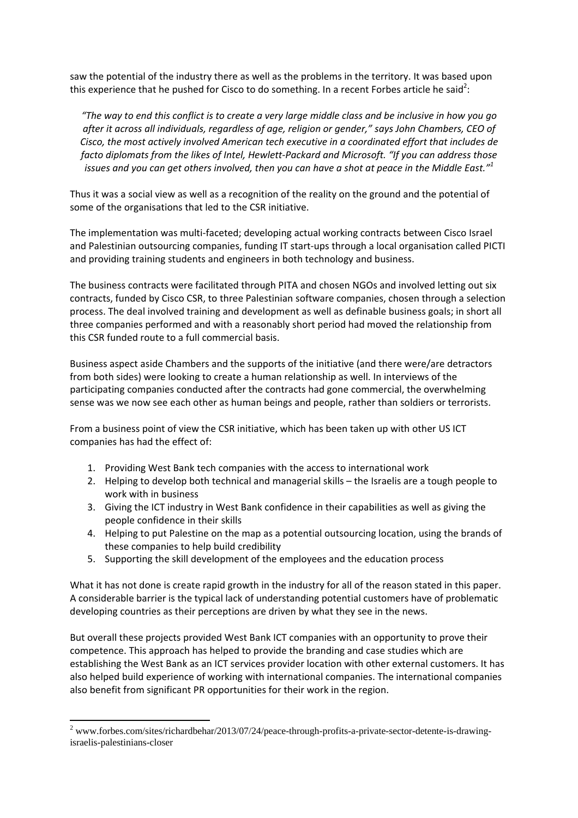saw the potential of the industry there as well as the problems in the territory. It was based upon this experience that he pushed for Cisco to do something. In a recent Forbes article he said<sup>2</sup>:

"The way to end this conflict is to create a very large middle class and be inclusive in how you go *after it across all individuals, regardless of age, religion or gender," says John Chambers, CEO of Cisco, the most actively involved American tech executive in a coordinated effort that includes de facto diplomats from the likes of Intel, Hewlett‐Packard and Microsoft. "If you can address those* issues and you can get others involved, then you can have a shot at peace in the Middle East."<sup>1</sup>

Thus it was a social view as well as a recognition of the reality on the ground and the potential of some of the organisations that led to the CSR initiative.

The implementation was multi‐faceted; developing actual working contracts between Cisco Israel and Palestinian outsourcing companies, funding IT start‐ups through a local organisation called PICTI and providing training students and engineers in both technology and business.

The business contracts were facilitated through PITA and chosen NGOs and involved letting out six contracts, funded by Cisco CSR, to three Palestinian software companies, chosen through a selection process. The deal involved training and development as well as definable business goals; in short all three companies performed and with a reasonably short period had moved the relationship from this CSR funded route to a full commercial basis.

Business aspect aside Chambers and the supports of the initiative (and there were/are detractors from both sides) were looking to create a human relationship as well. In interviews of the participating companies conducted after the contracts had gone commercial, the overwhelming sense was we now see each other as human beings and people, rather than soldiers or terrorists.

From a business point of view the CSR initiative, which has been taken up with other US ICT companies has had the effect of:

- 1. Providing West Bank tech companies with the access to international work
- 2. Helping to develop both technical and managerial skills the Israelis are a tough people to work with in business
- 3. Giving the ICT industry in West Bank confidence in their capabilities as well as giving the people confidence in their skills
- 4. Helping to put Palestine on the map as a potential outsourcing location, using the brands of these companies to help build credibility
- 5. Supporting the skill development of the employees and the education process

What it has not done is create rapid growth in the industry for all of the reason stated in this paper. A considerable barrier is the typical lack of understanding potential customers have of problematic developing countries as their perceptions are driven by what they see in the news.

But overall these projects provided West Bank ICT companies with an opportunity to prove their competence. This approach has helped to provide the branding and case studies which are establishing the West Bank as an ICT services provider location with other external customers. It has also helped build experience of working with international companies. The international companies also benefit from significant PR opportunities for their work in the region.

<sup>&</sup>lt;sup>2</sup> www.forbes.com/sites/richardbehar/2013/07/24/peace-through-profits-a-private-sector-detente-is-drawingisraelis-palestinians-closer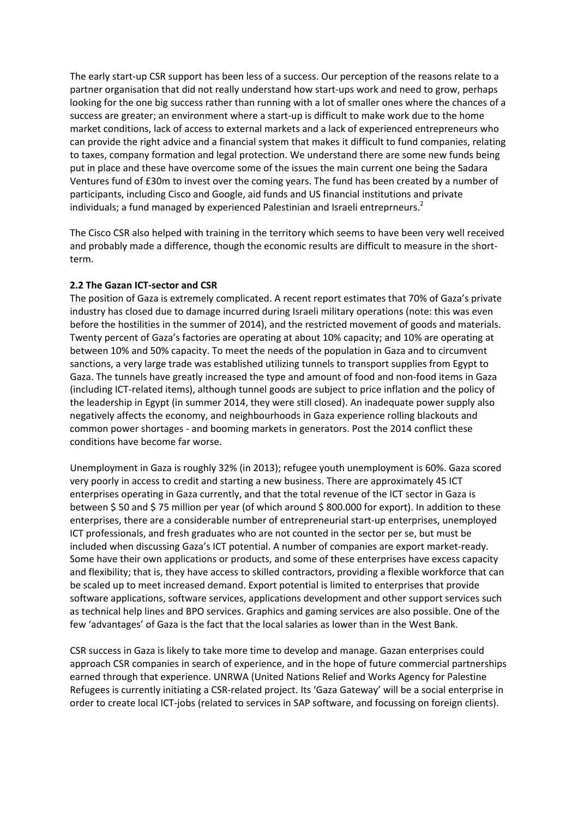The early start‐up CSR support has been less of a success. Our perception of the reasons relate to a partner organisation that did not really understand how start-ups work and need to grow, perhaps looking for the one big success rather than running with a lot of smaller ones where the chances of a success are greater; an environment where a start‐up is difficult to make work due to the home market conditions, lack of access to external markets and a lack of experienced entrepreneurs who can provide the right advice and a financial system that makes it difficult to fund companies, relating to taxes, company formation and legal protection. We understand there are some new funds being put in place and these have overcome some of the issues the main current one being the Sadara Ventures fund of £30m to invest over the coming years. The fund has been created by a number of participants, including Cisco and Google, aid funds and US financial institutions and private individuals; a fund managed by experienced Palestinian and Israeli entreprneurs.<sup>2</sup>

The Cisco CSR also helped with training in the territory which seems to have been very well received and probably made a difference, though the economic results are difficult to measure in the shortterm.

#### **2.2 The Gazan ICT‐sector and CSR**

The position of Gaza is extremely complicated. A recent report estimates that 70% of Gaza's private industry has closed due to damage incurred during Israeli military operations (note: this was even before the hostilities in the summer of 2014), and the restricted movement of goods and materials. Twenty percent of Gaza's factories are operating at about 10% capacity; and 10% are operating at between 10% and 50% capacity. To meet the needs of the population in Gaza and to circumvent sanctions, a very large trade was established utilizing tunnels to transport supplies from Egypt to Gaza. The tunnels have greatly increased the type and amount of food and non‐food items in Gaza (including ICT‐related items), although tunnel goods are subject to price inflation and the policy of the leadership in Egypt (in summer 2014, they were still closed). An inadequate power supply also negatively affects the economy, and neighbourhoods in Gaza experience rolling blackouts and common power shortages ‐ and booming markets in generators. Post the 2014 conflict these conditions have become far worse.

Unemployment in Gaza is roughly 32% (in 2013); refugee youth unemployment is 60%. Gaza scored very poorly in access to credit and starting a new business. There are approximately 45 ICT enterprises operating in Gaza currently, and that the total revenue of the ICT sector in Gaza is between \$ 50 and \$ 75 million per year (of which around \$ 800.000 for export). In addition to these enterprises, there are a considerable number of entrepreneurial start‐up enterprises, unemployed ICT professionals, and fresh graduates who are not counted in the sector per se, but must be included when discussing Gaza's ICT potential. A number of companies are export market‐ready. Some have their own applications or products, and some of these enterprises have excess capacity and flexibility; that is, they have access to skilled contractors, providing a flexible workforce that can be scaled up to meet increased demand. Export potential is limited to enterprises that provide software applications, software services, applications development and other support services such as technical help lines and BPO services. Graphics and gaming services are also possible. One of the few 'advantages' of Gaza is the fact that the local salaries as lower than in the West Bank.

CSR success in Gaza is likely to take more time to develop and manage. Gazan enterprises could approach CSR companies in search of experience, and in the hope of future commercial partnerships earned through that experience. UNRWA (United Nations Relief and Works Agency for Palestine Refugees is currently initiating a CSR‐related project. Its 'Gaza Gateway' will be a social enterprise in order to create local ICT‐jobs (related to services in SAP software, and focussing on foreign clients).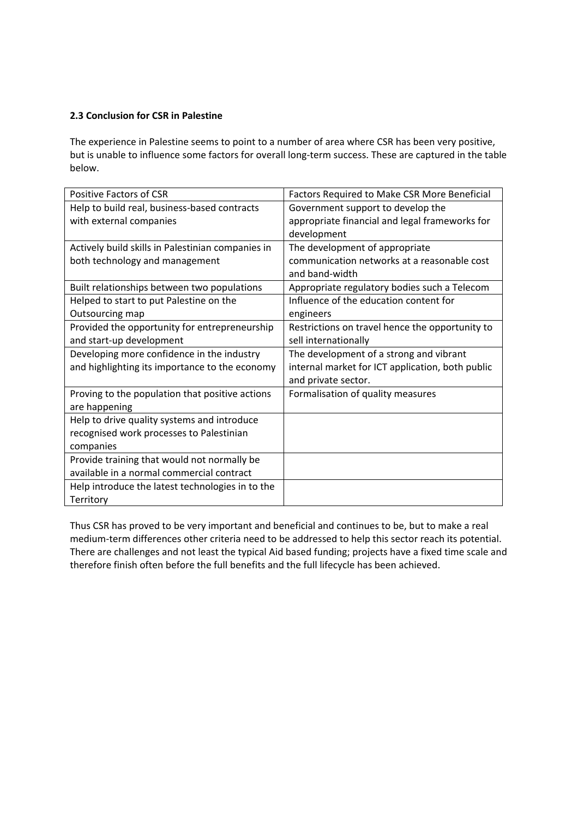## **2.3 Conclusion for CSR in Palestine**

The experience in Palestine seems to point to a number of area where CSR has been very positive, but is unable to influence some factors for overall long‐term success. These are captured in the table below.

| <b>Positive Factors of CSR</b>                    | Factors Required to Make CSR More Beneficial     |
|---------------------------------------------------|--------------------------------------------------|
| Help to build real, business-based contracts      | Government support to develop the                |
| with external companies                           | appropriate financial and legal frameworks for   |
|                                                   | development                                      |
| Actively build skills in Palestinian companies in | The development of appropriate                   |
| both technology and management                    | communication networks at a reasonable cost      |
|                                                   | and band-width                                   |
| Built relationships between two populations       | Appropriate regulatory bodies such a Telecom     |
| Helped to start to put Palestine on the           | Influence of the education content for           |
| Outsourcing map                                   | engineers                                        |
| Provided the opportunity for entrepreneurship     | Restrictions on travel hence the opportunity to  |
| and start-up development                          | sell internationally                             |
| Developing more confidence in the industry        | The development of a strong and vibrant          |
| and highlighting its importance to the economy    | internal market for ICT application, both public |
|                                                   | and private sector.                              |
| Proving to the population that positive actions   | Formalisation of quality measures                |
| are happening                                     |                                                  |
| Help to drive quality systems and introduce       |                                                  |
| recognised work processes to Palestinian          |                                                  |
| companies                                         |                                                  |
| Provide training that would not normally be       |                                                  |
| available in a normal commercial contract         |                                                  |
|                                                   |                                                  |
| Help introduce the latest technologies in to the  |                                                  |

Thus CSR has proved to be very important and beneficial and continues to be, but to make a real medium‐term differences other criteria need to be addressed to help this sector reach its potential. There are challenges and not least the typical Aid based funding; projects have a fixed time scale and therefore finish often before the full benefits and the full lifecycle has been achieved.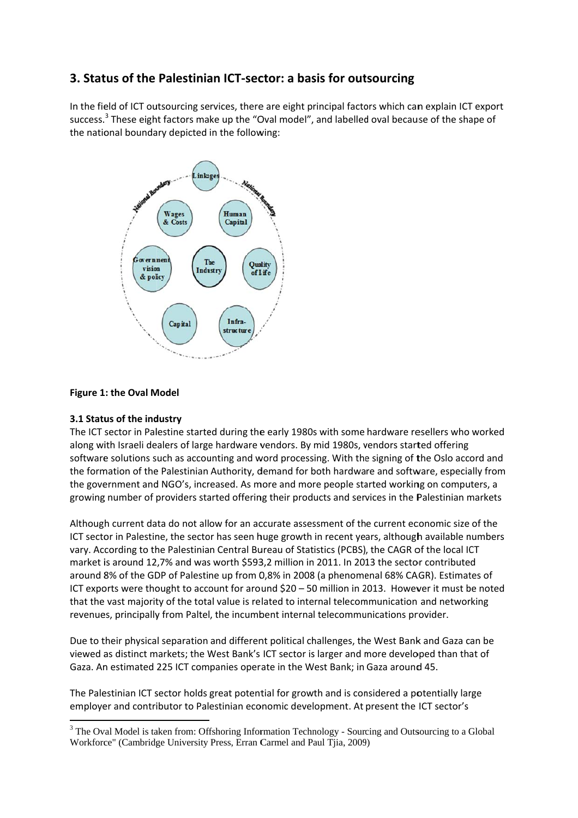## **3. Stat tus of the Palestinia an ICT‐sec ctor: a bas sis for out tsourcing**

In the field of ICT outsourcing services, there are eight principal factors which can explain ICT export success.<sup>3</sup> These eight factors make up the "Oval model", and labelled oval because of the shape of the national boundary depicted in the following:



## **Figure 1 1: the Oval M Model**

## **3.1 Status of the industry**

The ICT sector in Palestine started during the early 1980s with some hardware resellers who worked along with Israeli dealers of large hardware vendors. By mid 1980s, vendors started offering software solutions such as accounting and word processing. With the signing of the Oslo accord and the formation of the Palestinian Authority, demand for both hardware and software, especially from the government and NGO's, increased. As more and more people started working on computers, a growing number of providers started offering their products and services in the Palestinian markets

Although current data do not allow for an accurate assessment of the current economic size of the ICT sector in Palestine, the sector has seen huge growth in recent years, although available numbers vary. According to the Palestinian Central Bureau of Statistics (PCBS), the CAGR of the local ICT market is around 12,7% and was worth \$593,2 million in 2011. In 2013 the sector contributed around 8% of the GDP of Palestine up from 0,8% in 2008 (a phenomenal 68% CAGR). Estimates of ICT exports were thought to account for around \$20 - 50 million in 2013. However it must be noted that the vast majority of the total value is related to internal telecommunication and networking revenues, principally from Paltel, the incumbent internal telecommunications provider.

Due to their physical separation and different political challenges, the West Bank and Gaza can be viewed as distinct markets; the West Bank's ICT sector is larger and more developed than that of Gaza. An estimated 225 ICT companies operate in the West Bank; in Gaza around 45.

The Palestinian ICT sector holds great potential for growth and is considered a potentially large employer and contributor to Palestinian economic development. At present the ICT sector's

 $\frac{1}{3}$  The Ov Workforce" (Cambridge University Press, Erran Carmel and Paul Tjia, 2009) val Model is ta aken from: Offshoring Information Technology - Sourcing and Outsourcing to a Global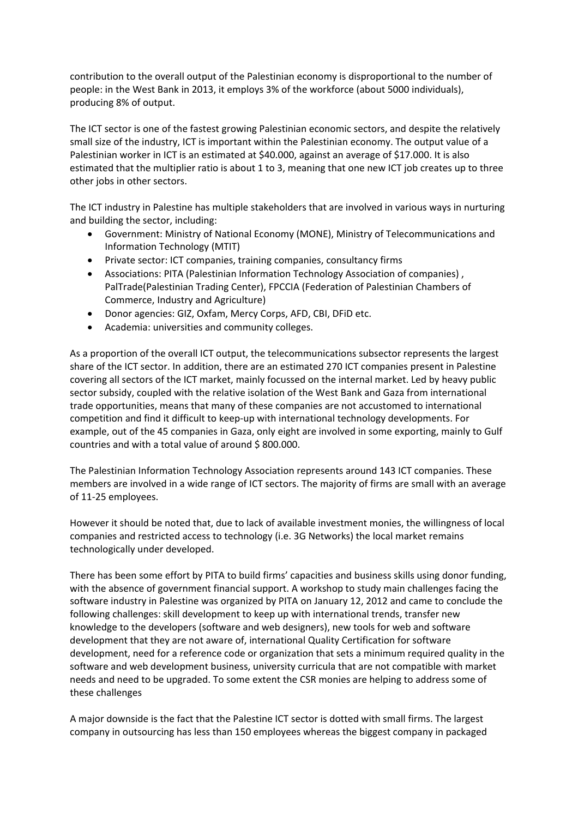contribution to the overall output of the Palestinian economy is disproportional to the number of people: in the West Bank in 2013, it employs 3% of the workforce (about 5000 individuals), producing 8% of output.

The ICT sector is one of the fastest growing Palestinian economic sectors, and despite the relatively small size of the industry, ICT is important within the Palestinian economy. The output value of a Palestinian worker in ICT is an estimated at \$40.000, against an average of \$17.000. It is also estimated that the multiplier ratio is about 1 to 3, meaning that one new ICT job creates up to three other jobs in other sectors.

The ICT industry in Palestine has multiple stakeholders that are involved in various ways in nurturing and building the sector, including:

- Government: Ministry of National Economy (MONE), Ministry of Telecommunications and Information Technology (MTIT)
- Private sector: ICT companies, training companies, consultancy firms
- Associations: PITA (Palestinian Information Technology Association of companies) , PalTrade(Palestinian Trading Center), FPCCIA (Federation of Palestinian Chambers of Commerce, Industry and Agriculture)
- Donor agencies: GIZ, Oxfam, Mercy Corps, AFD, CBI, DFiD etc.
- Academia: universities and community colleges.

As a proportion of the overall ICT output, the telecommunications subsector represents the largest share of the ICT sector. In addition, there are an estimated 270 ICT companies present in Palestine covering all sectors of the ICT market, mainly focussed on the internal market. Led by heavy public sector subsidy, coupled with the relative isolation of the West Bank and Gaza from international trade opportunities, means that many of these companies are not accustomed to international competition and find it difficult to keep‐up with international technology developments. For example, out of the 45 companies in Gaza, only eight are involved in some exporting, mainly to Gulf countries and with a total value of around \$ 800.000.

The Palestinian Information Technology Association represents around 143 ICT companies. These members are involved in a wide range of ICT sectors. The majority of firms are small with an average of 11‐25 employees.

However it should be noted that, due to lack of available investment monies, the willingness of local companies and restricted access to technology (i.e. 3G Networks) the local market remains technologically under developed.

There has been some effort by PITA to build firms' capacities and business skills using donor funding, with the absence of government financial support. A workshop to study main challenges facing the software industry in Palestine was organized by PITA on January 12, 2012 and came to conclude the following challenges: skill development to keep up with international trends, transfer new knowledge to the developers (software and web designers), new tools for web and software development that they are not aware of, international Quality Certification for software development, need for a reference code or organization that sets a minimum required quality in the software and web development business, university curricula that are not compatible with market needs and need to be upgraded. To some extent the CSR monies are helping to address some of these challenges

A major downside is the fact that the Palestine ICT sector is dotted with small firms. The largest company in outsourcing has less than 150 employees whereas the biggest company in packaged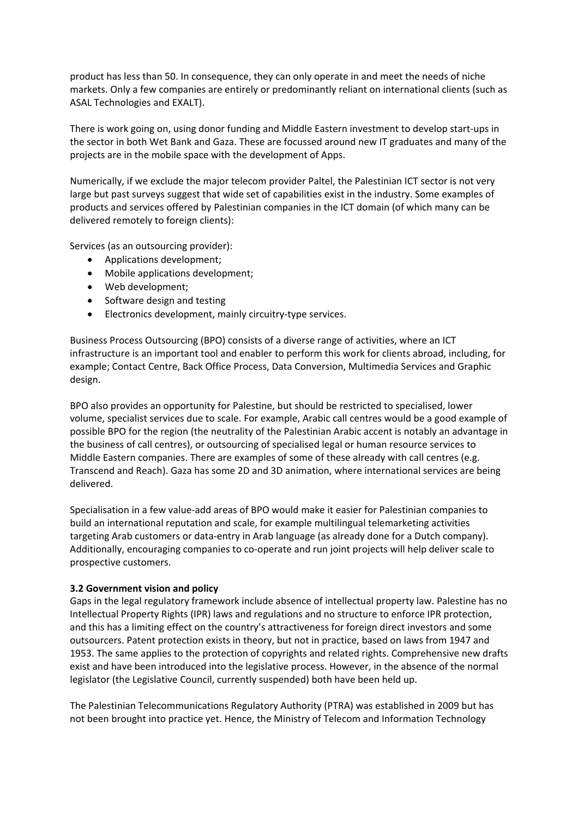product has less than 50. In consequence, they can only operate in and meet the needs of niche markets. Only a few companies are entirely or predominantly reliant on international clients (such as ASAL Technologies and EXALT).

There is work going on, using donor funding and Middle Eastern investment to develop start‐ups in the sector in both Wet Bank and Gaza. These are focussed around new IT graduates and many of the projects are in the mobile space with the development of Apps.

Numerically, if we exclude the major telecom provider Paltel, the Palestinian ICT sector is not very large but past surveys suggest that wide set of capabilities exist in the industry. Some examples of products and services offered by Palestinian companies in the ICT domain (of which many can be delivered remotely to foreign clients):

Services (as an outsourcing provider):

- Applications development;
- Mobile applications development;
- Web development;
- Software design and testing
- Electronics development, mainly circuitry‐type services.

Business Process Outsourcing (BPO) consists of a diverse range of activities, where an ICT infrastructure is an important tool and enabler to perform this work for clients abroad, including, for example; Contact Centre, Back Office Process, Data Conversion, Multimedia Services and Graphic design.

BPO also provides an opportunity for Palestine, but should be restricted to specialised, lower volume, specialist services due to scale. For example, Arabic call centres would be a good example of possible BPO for the region (the neutrality of the Palestinian Arabic accent is notably an advantage in the business of call centres), or outsourcing of specialised legal or human resource services to Middle Eastern companies. There are examples of some of these already with call centres (e.g. Transcend and Reach). Gaza has some 2D and 3D animation, where international services are being delivered.

Specialisation in a few value‐add areas of BPO would make it easier for Palestinian companies to build an international reputation and scale, for example multilingual telemarketing activities targeting Arab customers or data‐entry in Arab language (as already done for a Dutch company). Additionally, encouraging companies to co-operate and run joint projects will help deliver scale to prospective customers.

#### **3.2 Government vision and policy**

Gaps in the legal regulatory framework include absence of intellectual property law. Palestine has no Intellectual Property Rights (IPR) laws and regulations and no structure to enforce IPR protection, and this has a limiting effect on the country's attractiveness for foreign direct investors and some outsourcers. Patent protection exists in theory, but not in practice, based on laws from 1947 and 1953. The same applies to the protection of copyrights and related rights. Comprehensive new drafts exist and have been introduced into the legislative process. However, in the absence of the normal legislator (the Legislative Council, currently suspended) both have been held up.

The Palestinian Telecommunications Regulatory Authority (PTRA) was established in 2009 but has not been brought into practice yet. Hence, the Ministry of Telecom and Information Technology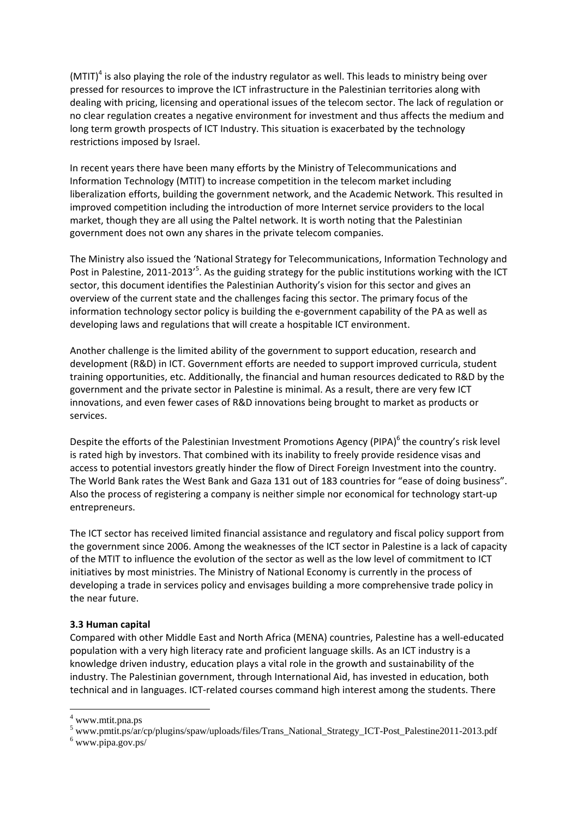(MTIT)<sup>4</sup> is also playing the role of the industry regulator as well. This leads to ministry being over pressed for resources to improve the ICT infrastructure in the Palestinian territories along with dealing with pricing, licensing and operational issues of the telecom sector. The lack of regulation or no clear regulation creates a negative environment for investment and thus affects the medium and long term growth prospects of ICT Industry. This situation is exacerbated by the technology restrictions imposed by Israel.

In recent years there have been many efforts by the Ministry of Telecommunications and Information Technology (MTIT) to increase competition in the telecom market including liberalization efforts, building the government network, and the Academic Network. This resulted in improved competition including the introduction of more Internet service providers to the local market, though they are all using the Paltel network. It is worth noting that the Palestinian government does not own any shares in the private telecom companies.

The Ministry also issued the 'National Strategy for Telecommunications, Information Technology and Post in Palestine, 2011-2013'<sup>5</sup>. As the guiding strategy for the public institutions working with the ICT sector, this document identifies the Palestinian Authority's vision for this sector and gives an overview of the current state and the challenges facing this sector. The primary focus of the information technology sector policy is building the e-government capability of the PA as well as developing laws and regulations that will create a hospitable ICT environment.

Another challenge is the limited ability of the government to support education, research and development (R&D) in ICT. Government efforts are needed to support improved curricula, student training opportunities, etc. Additionally, the financial and human resources dedicated to R&D by the government and the private sector in Palestine is minimal. As a result, there are very few ICT innovations, and even fewer cases of R&D innovations being brought to market as products or services.

Despite the efforts of the Palestinian Investment Promotions Agency (PIPA)<sup>6</sup> the country's risk level is rated high by investors. That combined with its inability to freely provide residence visas and access to potential investors greatly hinder the flow of Direct Foreign Investment into the country. The World Bank rates the West Bank and Gaza 131 out of 183 countries for "ease of doing business". Also the process of registering a company is neither simple nor economical for technology start‐up entrepreneurs.

The ICT sector has received limited financial assistance and regulatory and fiscal policy support from the government since 2006. Among the weaknesses of the ICT sector in Palestine is a lack of capacity of the MTIT to influence the evolution of the sector as well as the low level of commitment to ICT initiatives by most ministries. The Ministry of National Economy is currently in the process of developing a trade in services policy and envisages building a more comprehensive trade policy in the near future.

#### **3.3 Human capital**

Compared with other Middle East and North Africa (MENA) countries, Palestine has a well‐educated population with a very high literacy rate and proficient language skills. As an ICT industry is a knowledge driven industry, education plays a vital role in the growth and sustainability of the industry. The Palestinian government, through International Aid, has invested in education, both technical and in languages. ICT‐related courses command high interest among the students. There

<sup>4</sup> www.mtit.pna.ps

 $^5$  www.pmtit.ps/ar/cp/plugins/spaw/uploads/files/Trans\_National\_Strategy\_ICT-Post\_Palestine2011-2013.pdf  $^6$  www.pine.gov.ps/

www.pipa.gov.ps/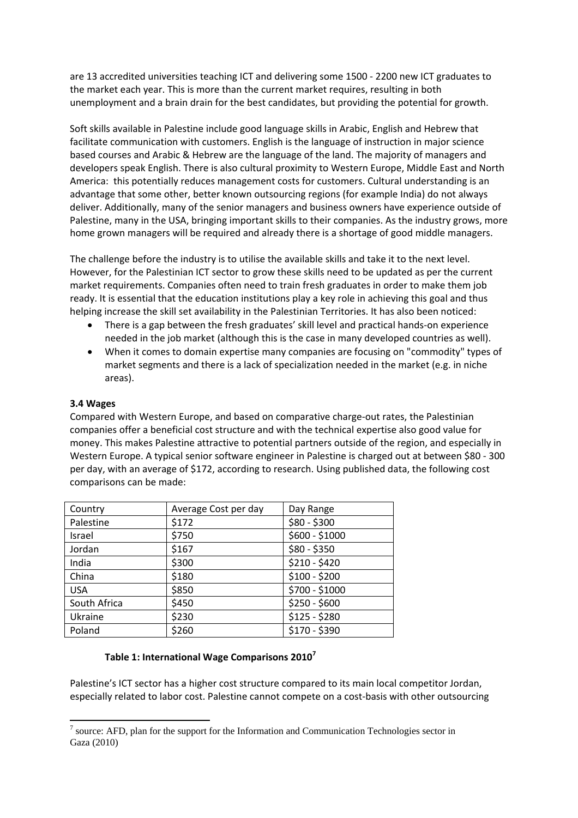are 13 accredited universities teaching ICT and delivering some 1500 ‐ 2200 new ICT graduates to the market each year. This is more than the current market requires, resulting in both unemployment and a brain drain for the best candidates, but providing the potential for growth.

Soft skills available in Palestine include good language skills in Arabic, English and Hebrew that facilitate communication with customers. English is the language of instruction in major science based courses and Arabic & Hebrew are the language of the land. The majority of managers and developers speak English. There is also cultural proximity to Western Europe, Middle East and North America: this potentially reduces management costs for customers. Cultural understanding is an advantage that some other, better known outsourcing regions (for example India) do not always deliver. Additionally, many of the senior managers and business owners have experience outside of Palestine, many in the USA, bringing important skills to their companies. As the industry grows, more home grown managers will be required and already there is a shortage of good middle managers.

The challenge before the industry is to utilise the available skills and take it to the next level. However, for the Palestinian ICT sector to grow these skills need to be updated as per the current market requirements. Companies often need to train fresh graduates in order to make them job ready. It is essential that the education institutions play a key role in achieving this goal and thus helping increase the skill set availability in the Palestinian Territories. It has also been noticed:

- There is a gap between the fresh graduates' skill level and practical hands‐on experience needed in the job market (although this is the case in many developed countries as well).
- When it comes to domain expertise many companies are focusing on "commodity" types of market segments and there is a lack of specialization needed in the market (e.g. in niche areas).

#### **3.4 Wages**

Compared with Western Europe, and based on comparative charge‐out rates, the Palestinian companies offer a beneficial cost structure and with the technical expertise also good value for money. This makes Palestine attractive to potential partners outside of the region, and especially in Western Europe. A typical senior software engineer in Palestine is charged out at between \$80 - 300 per day, with an average of \$172, according to research. Using published data, the following cost comparisons can be made:

| Country      | Average Cost per day | Day Range      |
|--------------|----------------------|----------------|
| Palestine    | \$172                | $$80 - $300$   |
| Israel       | \$750                | \$600 - \$1000 |
| Jordan       | \$167                | $$80 - $350$   |
| India        | \$300                | $$210 - $420$  |
| China        | \$180                | $$100 - $200$  |
| <b>USA</b>   | \$850                | \$700 - \$1000 |
| South Africa | \$450                | $$250 - $600$  |
| Ukraine      | \$230                | $$125 - $280$  |
| Poland       | \$260                | \$170 - \$390  |

#### **Table 1: International Wage Comparisons 2010<sup>7</sup>**

Palestine's ICT sector has a higher cost structure compared to its main local competitor Jordan, especially related to labor cost. Palestine cannot compete on a cost-basis with other outsourcing

<sup>&</sup>lt;sup>7</sup> source: AFD, plan for the support for the Information and Communication Technologies sector in Gaza (2010)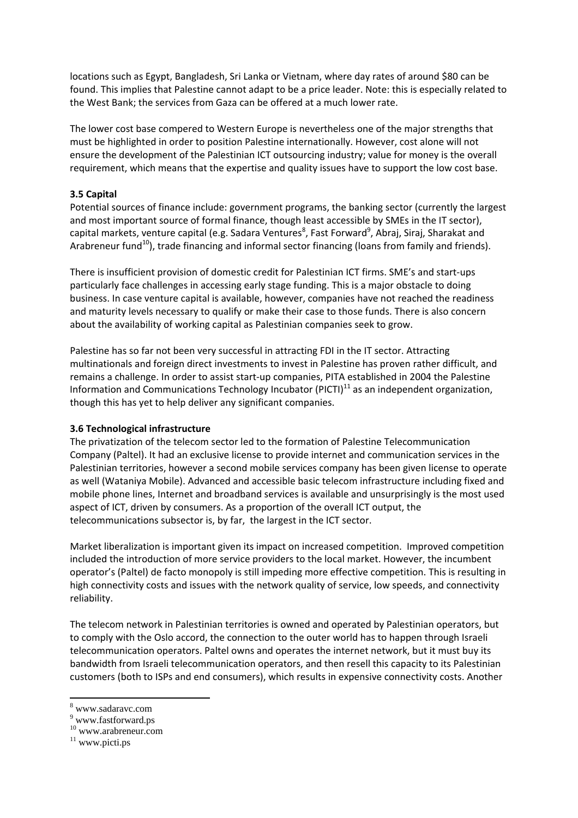locations such as Egypt, Bangladesh, Sri Lanka or Vietnam, where day rates of around \$80 can be found. This implies that Palestine cannot adapt to be a price leader. Note: this is especially related to the West Bank; the services from Gaza can be offered at a much lower rate.

The lower cost base compered to Western Europe is nevertheless one of the major strengths that must be highlighted in order to position Palestine internationally. However, cost alone will not ensure the development of the Palestinian ICT outsourcing industry; value for money is the overall requirement, which means that the expertise and quality issues have to support the low cost base.

## **3.5 Capital**

Potential sources of finance include: government programs, the banking sector (currently the largest and most important source of formal finance, though least accessible by SMEs in the IT sector), capital markets, venture capital (e.g. Sadara Ventures<sup>8</sup>, Fast Forward<sup>9</sup>, Abraj, Siraj, Sharakat and Arabreneur fund<sup>10</sup>), trade financing and informal sector financing (loans from family and friends).

There is insufficient provision of domestic credit for Palestinian ICT firms. SME's and start‐ups particularly face challenges in accessing early stage funding. This is a major obstacle to doing business. In case venture capital is available, however, companies have not reached the readiness and maturity levels necessary to qualify or make their case to those funds. There is also concern about the availability of working capital as Palestinian companies seek to grow.

Palestine has so far not been very successful in attracting FDI in the IT sector. Attracting multinationals and foreign direct investments to invest in Palestine has proven rather difficult, and remains a challenge. In order to assist start‐up companies, PITA established in 2004 the Palestine Information and Communications Technology Incubator (PICTI) $11$  as an independent organization, though this has yet to help deliver any significant companies.

#### **3.6 Technological infrastructure**

The privatization of the telecom sector led to the formation of Palestine Telecommunication Company (Paltel). It had an exclusive license to provide internet and communication services in the Palestinian territories, however a second mobile services company has been given license to operate as well (Wataniya Mobile). Advanced and accessible basic telecom infrastructure including fixed and mobile phone lines, Internet and broadband services is available and unsurprisingly is the most used aspect of ICT, driven by consumers. As a proportion of the overall ICT output, the telecommunications subsector is, by far, the largest in the ICT sector.

Market liberalization is important given its impact on increased competition. Improved competition included the introduction of more service providers to the local market. However, the incumbent operator's (Paltel) de facto monopoly is still impeding more effective competition. This is resulting in high connectivity costs and issues with the network quality of service, low speeds, and connectivity reliability.

The telecom network in Palestinian territories is owned and operated by Palestinian operators, but to comply with the Oslo accord, the connection to the outer world has to happen through Israeli telecommunication operators. Paltel owns and operates the internet network, but it must buy its bandwidth from Israeli telecommunication operators, and then resell this capacity to its Palestinian customers (both to ISPs and end consumers), which results in expensive connectivity costs. Another

<sup>8</sup> www.sadaravc.com

<sup>9</sup> www.fastforward.ps

<sup>10</sup> www.arabreneur.com

 $11$  www.picti.ps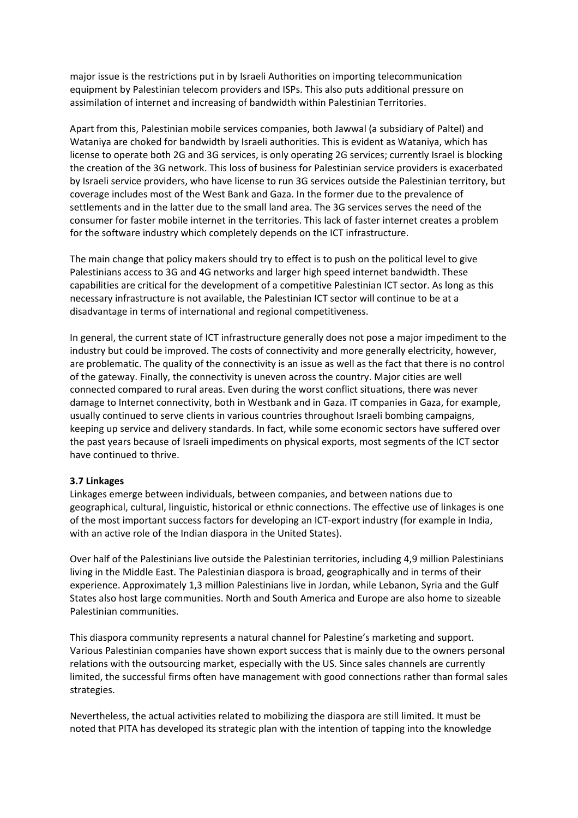major issue is the restrictions put in by Israeli Authorities on importing telecommunication equipment by Palestinian telecom providers and ISPs. This also puts additional pressure on assimilation of internet and increasing of bandwidth within Palestinian Territories.

Apart from this, Palestinian mobile services companies, both Jawwal (a subsidiary of Paltel) and Wataniya are choked for bandwidth by Israeli authorities. This is evident as Wataniya, which has license to operate both 2G and 3G services, is only operating 2G services; currently Israel is blocking the creation of the 3G network. This loss of business for Palestinian service providers is exacerbated by Israeli service providers, who have license to run 3G services outside the Palestinian territory, but coverage includes most of the West Bank and Gaza. In the former due to the prevalence of settlements and in the latter due to the small land area. The 3G services serves the need of the consumer for faster mobile internet in the territories. This lack of faster internet creates a problem for the software industry which completely depends on the ICT infrastructure.

The main change that policy makers should try to effect is to push on the political level to give Palestinians access to 3G and 4G networks and larger high speed internet bandwidth. These capabilities are critical for the development of a competitive Palestinian ICT sector. As long as this necessary infrastructure is not available, the Palestinian ICT sector will continue to be at a disadvantage in terms of international and regional competitiveness.

In general, the current state of ICT infrastructure generally does not pose a major impediment to the industry but could be improved. The costs of connectivity and more generally electricity, however, are problematic. The quality of the connectivity is an issue as well as the fact that there is no control of the gateway. Finally, the connectivity is uneven across the country. Major cities are well connected compared to rural areas. Even during the worst conflict situations, there was never damage to Internet connectivity, both in Westbank and in Gaza. IT companies in Gaza, for example, usually continued to serve clients in various countries throughout Israeli bombing campaigns, keeping up service and delivery standards. In fact, while some economic sectors have suffered over the past years because of Israeli impediments on physical exports, most segments of the ICT sector have continued to thrive.

#### **3.7 Linkages**

Linkages emerge between individuals, between companies, and between nations due to geographical, cultural, linguistic, historical or ethnic connections. The effective use of linkages is one of the most important success factors for developing an ICT‐export industry (for example in India, with an active role of the Indian diaspora in the United States).

Over half of the Palestinians live outside the Palestinian territories, including 4,9 million Palestinians living in the Middle East. The Palestinian diaspora is broad, geographically and in terms of their experience. Approximately 1,3 million Palestinians live in Jordan, while Lebanon, Syria and the Gulf States also host large communities. North and South America and Europe are also home to sizeable Palestinian communities.

This diaspora community represents a natural channel for Palestine's marketing and support. Various Palestinian companies have shown export success that is mainly due to the owners personal relations with the outsourcing market, especially with the US. Since sales channels are currently limited, the successful firms often have management with good connections rather than formal sales strategies.

Nevertheless, the actual activities related to mobilizing the diaspora are still limited. It must be noted that PITA has developed its strategic plan with the intention of tapping into the knowledge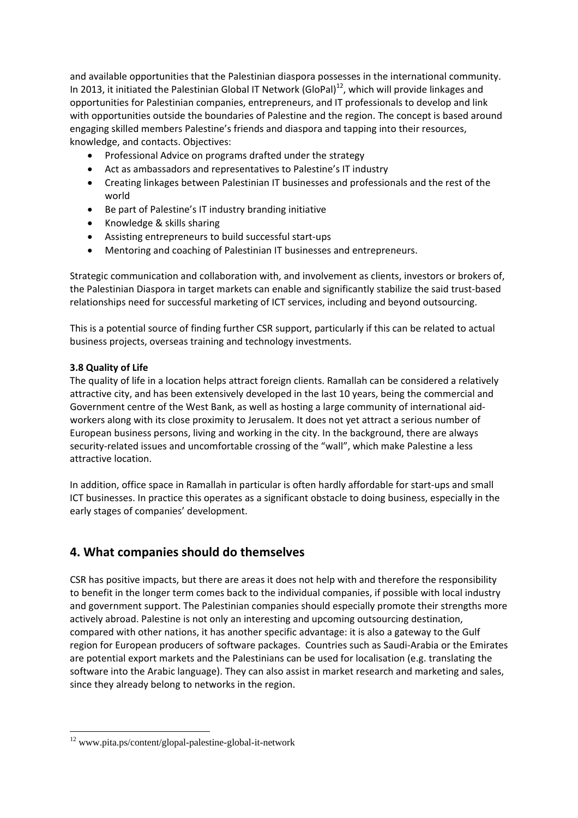and available opportunities that the Palestinian diaspora possesses in the international community. In 2013, it initiated the Palestinian Global IT Network (GloPal)<sup>12</sup>, which will provide linkages and opportunities for Palestinian companies, entrepreneurs, and IT professionals to develop and link with opportunities outside the boundaries of Palestine and the region. The concept is based around engaging skilled members Palestine's friends and diaspora and tapping into their resources, knowledge, and contacts. Objectives:

- Professional Advice on programs drafted under the strategy
- Act as ambassadors and representatives to Palestine's IT industry
- Creating linkages between Palestinian IT businesses and professionals and the rest of the world
- Be part of Palestine's IT industry branding initiative
- Knowledge & skills sharing
- Assisting entrepreneurs to build successful start‐ups
- Mentoring and coaching of Palestinian IT businesses and entrepreneurs.

Strategic communication and collaboration with, and involvement as clients, investors or brokers of, the Palestinian Diaspora in target markets can enable and significantly stabilize the said trust‐based relationships need for successful marketing of ICT services, including and beyond outsourcing.

This is a potential source of finding further CSR support, particularly if this can be related to actual business projects, overseas training and technology investments.

## **3.8 Quality of Life**

The quality of life in a location helps attract foreign clients. Ramallah can be considered a relatively attractive city, and has been extensively developed in the last 10 years, being the commercial and Government centre of the West Bank, as well as hosting a large community of international aid‐ workers along with its close proximity to Jerusalem. It does not yet attract a serious number of European business persons, living and working in the city. In the background, there are always security-related issues and uncomfortable crossing of the "wall", which make Palestine a less attractive location.

In addition, office space in Ramallah in particular is often hardly affordable for start‐ups and small ICT businesses. In practice this operates as a significant obstacle to doing business, especially in the early stages of companies' development.

## **4. What companies should do themselves**

CSR has positive impacts, but there are areas it does not help with and therefore the responsibility to benefit in the longer term comes back to the individual companies, if possible with local industry and government support. The Palestinian companies should especially promote their strengths more actively abroad. Palestine is not only an interesting and upcoming outsourcing destination, compared with other nations, it has another specific advantage: it is also a gateway to the Gulf region for European producers of software packages. Countries such as Saudi‐Arabia or the Emirates are potential export markets and the Palestinians can be used for localisation (e.g. translating the software into the Arabic language). They can also assist in market research and marketing and sales, since they already belong to networks in the region.

<sup>12</sup> www.pita.ps/content/glopal-palestine-global-it-network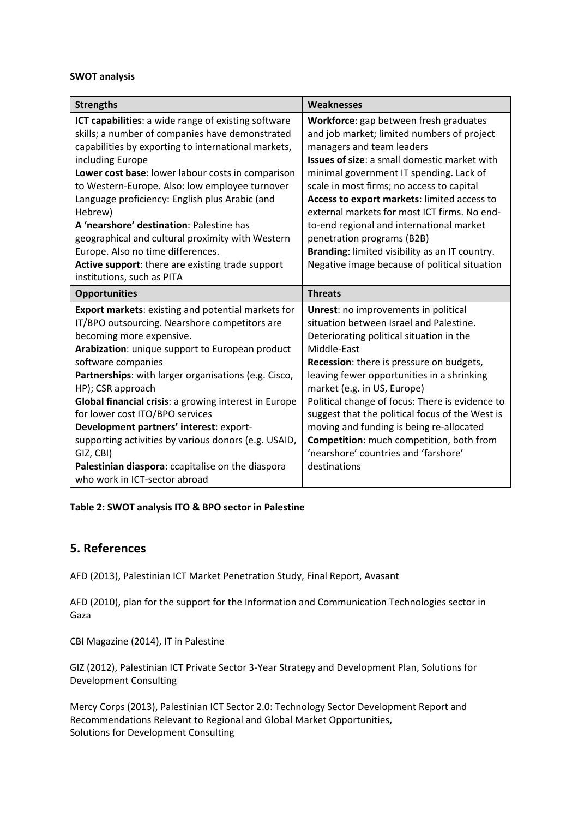#### **SWOT analysis**

| <b>Strengths</b>                                                                                                                                                                                                                                                                                                                                                                                                                                                                                                                                                                               | Weaknesses                                                                                                                                                                                                                                                                                                                                                                                                                                                                                                                                     |
|------------------------------------------------------------------------------------------------------------------------------------------------------------------------------------------------------------------------------------------------------------------------------------------------------------------------------------------------------------------------------------------------------------------------------------------------------------------------------------------------------------------------------------------------------------------------------------------------|------------------------------------------------------------------------------------------------------------------------------------------------------------------------------------------------------------------------------------------------------------------------------------------------------------------------------------------------------------------------------------------------------------------------------------------------------------------------------------------------------------------------------------------------|
| ICT capabilities: a wide range of existing software<br>skills; a number of companies have demonstrated<br>capabilities by exporting to international markets,<br>including Europe<br>Lower cost base: lower labour costs in comparison<br>to Western-Europe. Also: low employee turnover<br>Language proficiency: English plus Arabic (and<br>Hebrew)<br>A 'nearshore' destination: Palestine has<br>geographical and cultural proximity with Western<br>Europe. Also no time differences.<br>Active support: there are existing trade support<br>institutions, such as PITA                   | Workforce: gap between fresh graduates<br>and job market; limited numbers of project<br>managers and team leaders<br><b>Issues of size:</b> a small domestic market with<br>minimal government IT spending. Lack of<br>scale in most firms; no access to capital<br>Access to export markets: limited access to<br>external markets for most ICT firms. No end-<br>to-end regional and international market<br>penetration programs (B2B)<br>Branding: limited visibility as an IT country.<br>Negative image because of political situation   |
| <b>Opportunities</b>                                                                                                                                                                                                                                                                                                                                                                                                                                                                                                                                                                           | <b>Threats</b>                                                                                                                                                                                                                                                                                                                                                                                                                                                                                                                                 |
| Export markets: existing and potential markets for<br>IT/BPO outsourcing. Nearshore competitors are<br>becoming more expensive.<br>Arabization: unique support to European product<br>software companies<br>Partnerships: with larger organisations (e.g. Cisco,<br>HP); CSR approach<br><b>Global financial crisis:</b> a growing interest in Europe<br>for lower cost ITO/BPO services<br>Development partners' interest: export-<br>supporting activities by various donors (e.g. USAID,<br>GIZ, CBI)<br>Palestinian diaspora: ccapitalise on the diaspora<br>who work in ICT-sector abroad | <b>Unrest:</b> no improvements in political<br>situation between Israel and Palestine.<br>Deteriorating political situation in the<br>Middle-East<br><b>Recession:</b> there is pressure on budgets,<br>leaving fewer opportunities in a shrinking<br>market (e.g. in US, Europe)<br>Political change of focus: There is evidence to<br>suggest that the political focus of the West is<br>moving and funding is being re-allocated<br><b>Competition:</b> much competition, both from<br>'nearshore' countries and 'farshore'<br>destinations |

## **Table 2: SWOT analysis ITO & BPO sector in Palestine**

## **5. References**

AFD (2013), Palestinian ICT Market Penetration Study, Final Report, Avasant

AFD (2010), plan for the support for the Information and Communication Technologies sector in Gaza

CBI Magazine (2014), IT in Palestine

GIZ (2012), Palestinian ICT Private Sector 3‐Year Strategy and Development Plan, Solutions for Development Consulting

Mercy Corps (2013), Palestinian ICT Sector 2.0: Technology Sector Development Report and Recommendations Relevant to Regional and Global Market Opportunities, Solutions for Development Consulting